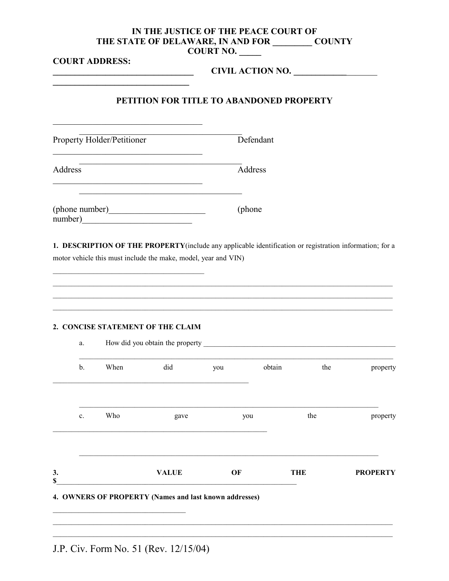## IN THE JUSTICE OF THE PEACE COURT OF THE STATE OF DELAWARE, IN AND FOR COUNTY **COURT NO.**

**COURT ADDRESS:** CIVIL ACTION NO. PETITION FOR TITLE TO ABANDONED PROPERTY Defendant Property Holder/Petitioner Address Address <u> 1990 - Johann Barbara, martin a</u> (phone number) 1. DESCRIPTION OF THE PROPERTY (include any applicable identification or registration information; for a motor vehicle this must include the make, model, year and VIN) 2. CONCISE STATEMENT OF THE CLAIM How did you obtain the property a. When did you obtain the  $b.$ property you gave  $c.$ Who the property VALUE OF THE  $3.$ **PROPERTY** \$ 4. OWNERS OF PROPERTY (Names and last known addresses)